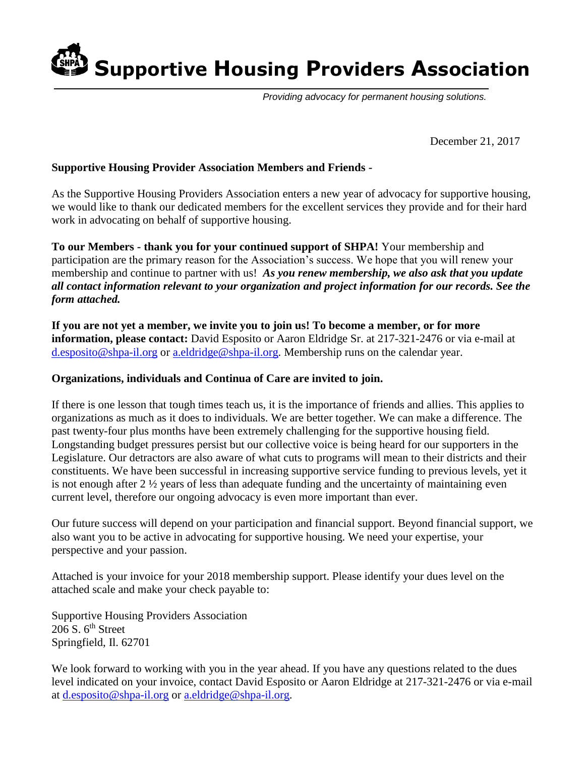**Sinal** Supportive Housing Providers Association

*Providing advocacy for permanent housing solutions.*

December 21, 2017

### **Supportive Housing Provider Association Members and Friends -**

As the Supportive Housing Providers Association enters a new year of advocacy for supportive housing, we would like to thank our dedicated members for the excellent services they provide and for their hard work in advocating on behalf of supportive housing.

**To our Members - thank you for your continued support of SHPA!** Your membership and participation are the primary reason for the Association's success. We hope that you will renew your membership and continue to partner with us! *As you renew membership, we also ask that you update all contact information relevant to your organization and project information for our records. See the form attached.*

**If you are not yet a member, we invite you to join us! To become a member, or for more information, please contact:** David Esposito or Aaron Eldridge Sr. at 217-321-2476 or via e-mail at [d.esposito@shpa-il.org](mailto:d.esposito@shpa-il.org) or [a.eldridge@shpa-il.org.](mailto:a.eldridge@shpa-il.org) Membership runs on the calendar year.

#### **Organizations, individuals and Continua of Care are invited to join.**

If there is one lesson that tough times teach us, it is the importance of friends and allies. This applies to organizations as much as it does to individuals. We are better together. We can make a difference. The past twenty-four plus months have been extremely challenging for the supportive housing field. Longstanding budget pressures persist but our collective voice is being heard for our supporters in the Legislature. Our detractors are also aware of what cuts to programs will mean to their districts and their constituents. We have been successful in increasing supportive service funding to previous levels, yet it is not enough after 2 ½ years of less than adequate funding and the uncertainty of maintaining even current level, therefore our ongoing advocacy is even more important than ever.

Our future success will depend on your participation and financial support. Beyond financial support, we also want you to be active in advocating for supportive housing. We need your expertise, your perspective and your passion.

Attached is your invoice for your 2018 membership support. Please identify your dues level on the attached scale and make your check payable to:

Supportive Housing Providers Association 206 S.  $6<sup>th</sup>$  Street Springfield, Il. 62701

We look forward to working with you in the year ahead. If you have any questions related to the dues level indicated on your invoice, contact David Esposito or Aaron Eldridge at 217-321-2476 or via e-mail at [d.esposito@shpa-il.org](mailto:d.esposito@shpa-il.org) or [a.eldridge@shpa-il.org.](mailto:a.eldridge@shpa-il.org)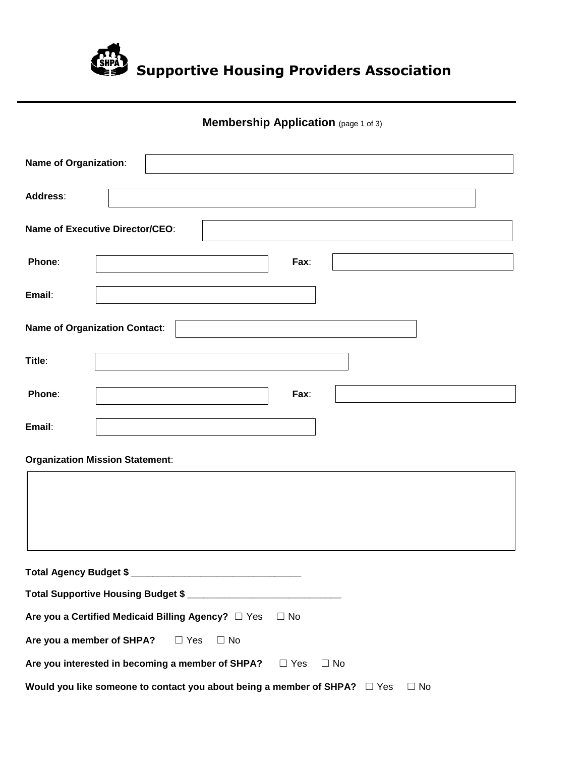

# **Membership Application** (page 1 of 3)

| Name of Organization:                                                                   |                                        |  |  |  |  |  |
|-----------------------------------------------------------------------------------------|----------------------------------------|--|--|--|--|--|
| Address:                                                                                |                                        |  |  |  |  |  |
|                                                                                         | <b>Name of Executive Director/CEO:</b> |  |  |  |  |  |
| Phone:                                                                                  | Fax:                                   |  |  |  |  |  |
| Email:                                                                                  |                                        |  |  |  |  |  |
|                                                                                         | Name of Organization Contact:          |  |  |  |  |  |
| Title:                                                                                  |                                        |  |  |  |  |  |
| Phone:                                                                                  | Fax:                                   |  |  |  |  |  |
| Email:                                                                                  |                                        |  |  |  |  |  |
| <b>Organization Mission Statement:</b>                                                  |                                        |  |  |  |  |  |
|                                                                                         |                                        |  |  |  |  |  |
|                                                                                         |                                        |  |  |  |  |  |
|                                                                                         |                                        |  |  |  |  |  |
|                                                                                         |                                        |  |  |  |  |  |
|                                                                                         |                                        |  |  |  |  |  |
| Are you a Certified Medicaid Billing Agency? □ Yes<br>$\Box$ No                         |                                        |  |  |  |  |  |
| Are you a member of SHPA?                                                               | $\Box$ No<br>$\Box$ Yes                |  |  |  |  |  |
| Are you interested in becoming a member of SHPA?<br>$\Box$ Yes<br>$\Box$ No             |                                        |  |  |  |  |  |
| Would you like someone to contact you about being a member of SHPA?  D Yes<br>$\Box$ No |                                        |  |  |  |  |  |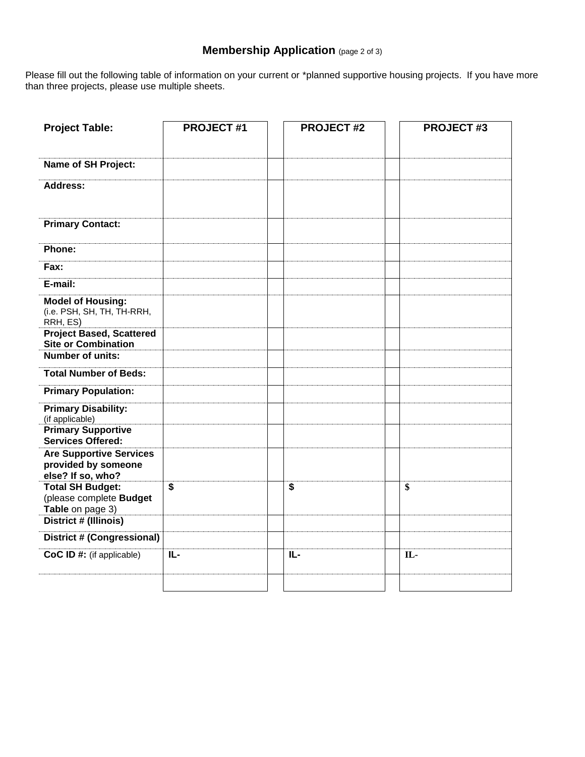# **Membership Application** (page 2 of 3)

Please fill out the following table of information on your current or \*planned supportive housing projects. If you have more than three projects, please use multiple sheets.

| <b>Project Table:</b>                                                      | <b>PROJECT #1</b> | <b>PROJECT#2</b> | <b>PROJECT#3</b> |
|----------------------------------------------------------------------------|-------------------|------------------|------------------|
|                                                                            |                   |                  |                  |
| Name of SH Project:                                                        |                   |                  |                  |
| Address:                                                                   |                   |                  |                  |
| <b>Primary Contact:</b>                                                    |                   |                  |                  |
| Phone:                                                                     |                   |                  |                  |
| Fax:                                                                       |                   |                  |                  |
| E-mail:                                                                    |                   |                  |                  |
| <b>Model of Housing:</b><br>(i.e. PSH, SH, TH, TH-RRH,<br>RRH, ES)         |                   |                  |                  |
| <b>Project Based, Scattered</b><br><b>Site or Combination</b>              |                   |                  |                  |
| <b>Number of units:</b>                                                    |                   |                  |                  |
| <b>Total Number of Beds:</b>                                               |                   |                  |                  |
| <b>Primary Population:</b>                                                 |                   |                  |                  |
| <b>Primary Disability:</b><br>(if applicable)                              |                   |                  |                  |
| <b>Primary Supportive</b><br><b>Services Offered:</b>                      |                   |                  |                  |
| <b>Are Supportive Services</b><br>provided by someone<br>else? If so, who? |                   |                  |                  |
| <b>Total SH Budget:</b><br>(please complete Budget<br>Table on page 3)     | \$                | \$               | \$               |
| District # (Illinois)                                                      |                   |                  |                  |
| <b>District # (Congressional)</b>                                          |                   |                  |                  |
| CoC ID #: (if applicable)                                                  | IL-               | IL-              | IL-              |
|                                                                            |                   |                  |                  |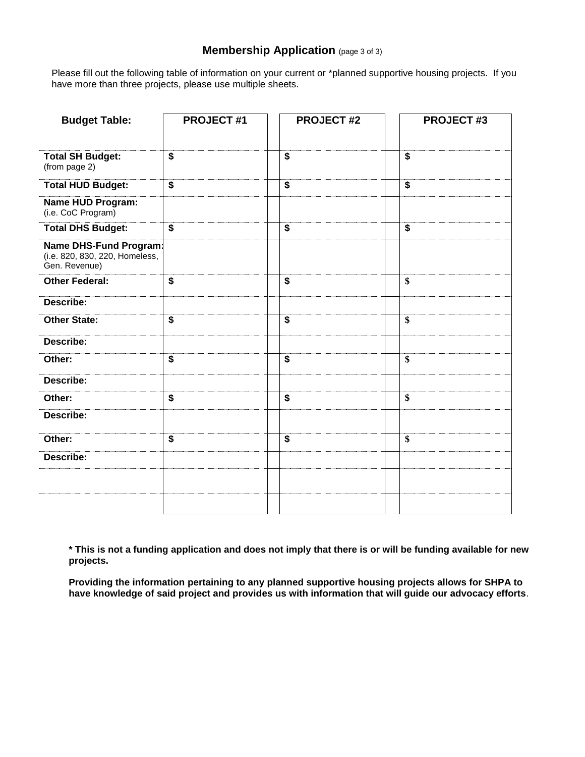### **Membership Application** (page 3 of 3)

Please fill out the following table of information on your current or \*planned supportive housing projects. If you have more than three projects, please use multiple sheets.

| <b>Budget Table:</b>                                                      | <b>PROJECT#1</b>        | <b>PROJECT#2</b>        | <b>PROJECT #3</b>       |
|---------------------------------------------------------------------------|-------------------------|-------------------------|-------------------------|
| <b>Total SH Budget:</b><br>(from page 2)                                  | \$                      | \$                      | \$                      |
| <b>Total HUD Budget:</b>                                                  | $\overline{\mathbf{S}}$ | $\overline{\mathbf{S}}$ | $\overline{\mathbf{S}}$ |
| <b>Name HUD Program:</b><br>(i.e. CoC Program)                            |                         |                         |                         |
| <b>Total DHS Budget:</b>                                                  | $\boldsymbol{\$}$       | $\boldsymbol{\$}$       | $\overline{\mathbf{S}}$ |
| Name DHS-Fund Program:<br>(i.e. 820, 830, 220, Homeless,<br>Gen. Revenue) |                         |                         |                         |
| <b>Other Federal:</b>                                                     | \$                      | \$                      | \$                      |
| Describe:                                                                 |                         |                         |                         |
| <b>Other State:</b>                                                       | $\overline{\mathbf{s}}$ | $\overline{\mathbf{s}}$ | $\overline{\mathbf{S}}$ |
| Describe:                                                                 |                         |                         |                         |
| Other:                                                                    | $\overline{\mathbf{s}}$ | $\overline{\mathbf{S}}$ | \$                      |
| Describe:                                                                 |                         |                         |                         |
| Other:                                                                    | $\overline{\$}$         | $\overline{\mathbf{s}}$ | \$                      |
| Describe:                                                                 |                         |                         |                         |
| Other:                                                                    | \$                      | \$                      | \$                      |
| Describe:                                                                 |                         |                         |                         |
|                                                                           |                         |                         |                         |
|                                                                           |                         |                         |                         |

**\* This is not a funding application and does not imply that there is or will be funding available for new projects.** 

**Providing the information pertaining to any planned supportive housing projects allows for SHPA to have knowledge of said project and provides us with information that will guide our advocacy efforts**.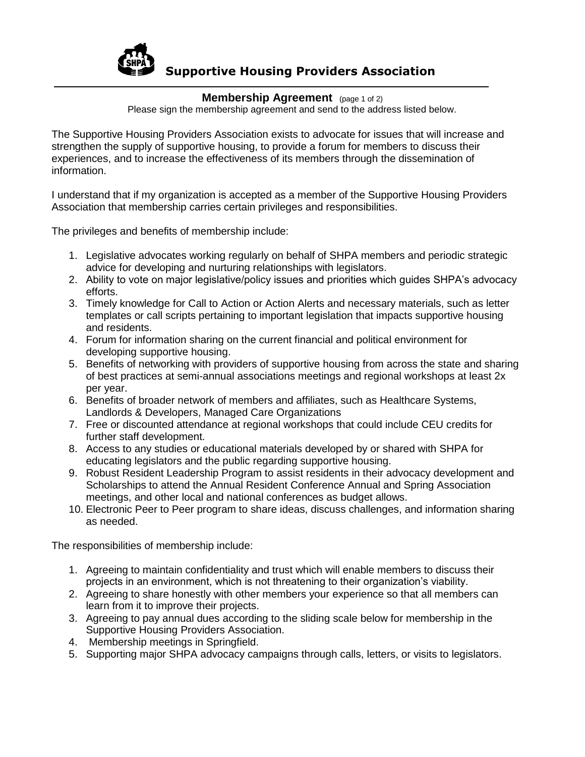

## **Supportive Housing Providers Association**

#### **Membership Agreement** (page 1 of 2)

Please sign the membership agreement and send to the address listed below.

The Supportive Housing Providers Association exists to advocate for issues that will increase and strengthen the supply of supportive housing, to provide a forum for members to discuss their experiences, and to increase the effectiveness of its members through the dissemination of information.

I understand that if my organization is accepted as a member of the Supportive Housing Providers Association that membership carries certain privileges and responsibilities.

The privileges and benefits of membership include:

- 1. Legislative advocates working regularly on behalf of SHPA members and periodic strategic advice for developing and nurturing relationships with legislators.
- 2. Ability to vote on major legislative/policy issues and priorities which guides SHPA's advocacy efforts.
- 3. Timely knowledge for Call to Action or Action Alerts and necessary materials, such as letter templates or call scripts pertaining to important legislation that impacts supportive housing and residents.
- 4. Forum for information sharing on the current financial and political environment for developing supportive housing.
- 5. Benefits of networking with providers of supportive housing from across the state and sharing of best practices at semi-annual associations meetings and regional workshops at least 2x per year.
- 6. Benefits of broader network of members and affiliates, such as Healthcare Systems, Landlords & Developers, Managed Care Organizations
- 7. Free or discounted attendance at regional workshops that could include CEU credits for further staff development.
- 8. Access to any studies or educational materials developed by or shared with SHPA for educating legislators and the public regarding supportive housing.
- 9. Robust Resident Leadership Program to assist residents in their advocacy development and Scholarships to attend the Annual Resident Conference Annual and Spring Association meetings, and other local and national conferences as budget allows.
- 10. Electronic Peer to Peer program to share ideas, discuss challenges, and information sharing as needed.

The responsibilities of membership include:

- 1. Agreeing to maintain confidentiality and trust which will enable members to discuss their projects in an environment, which is not threatening to their organization's viability.
- 2. Agreeing to share honestly with other members your experience so that all members can learn from it to improve their projects.
- 3. Agreeing to pay annual dues according to the sliding scale below for membership in the Supportive Housing Providers Association.
- 4. Membership meetings in Springfield.
- 5. Supporting major SHPA advocacy campaigns through calls, letters, or visits to legislators.